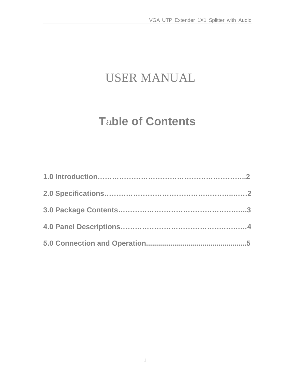# USER MANUAL

## **T**a**ble of Contents**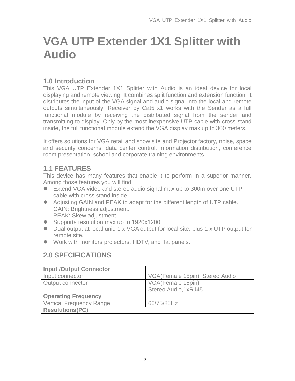## **VGA UTP Extender 1X1 Splitter with Audio**

#### **1.0 Introduction**

This VGA UTP Extender 1X1 Splitter with Audio is an ideal device for local displaying and remote viewing. It combines split function and extension function. It distributes the input of the VGA signal and audio signal into the local and remote outputs simultaneously. Receiver by Cat5 x1 works with the Sender as a full functional module by receiving the distributed signal from the sender and transmitting to display. Only by the most inexpensive UTP cable with cross stand inside, the full functional module extend the VGA display max up to 300 meters.

It offers solutions for VGA retail and show site and Projector factory, noise, space and security concerns, data center control, information distribution, conference room presentation, school and corporate training environments.

### **1.1 FEATURES**

This device has many features that enable it to perform in a superior manner. Among those features you will find:

- Extend VGA video and stereo audio signal max up to 300m over one UTP cable with cross stand inside
- Adjusting GAIN and PEAK to adapt for the different length of UTP cable. GAIN: Brightness adjustment. PEAK: Skew adjustment.
- Supports resolution max up to 1920x1200.
- Dual output at local unit: 1 x VGA output for local site, plus 1 x UTP output for remote site.
- Work with monitors projectors, HDTV, and flat panels.

### **2.0 SPECIFICATIONS**

| <b>Input /Output Connector</b>  |                                 |
|---------------------------------|---------------------------------|
| Input connector                 | VGA(Female 15pin), Stereo Audio |
| Output connector                | VGA(Female 15pin),              |
|                                 | Stereo Audio, 1xRJ45            |
| <b>Operating Frequency</b>      |                                 |
| <b>Vertical Frequency Range</b> | 60/75/85Hz                      |
| <b>Resolutions(PC)</b>          |                                 |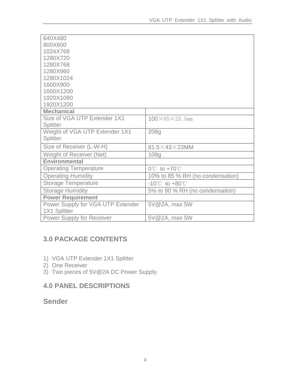| 640X480                           |                                  |  |
|-----------------------------------|----------------------------------|--|
| 800X600                           |                                  |  |
| 1024X768                          |                                  |  |
| 1280X720                          |                                  |  |
| 1280X768                          |                                  |  |
| 1280X960                          |                                  |  |
| 1280X1024                         |                                  |  |
| 1600X900                          |                                  |  |
| 1600X1200                         |                                  |  |
| 1920X1080                         |                                  |  |
| 1920X1200                         |                                  |  |
| <b>Mechanical</b>                 |                                  |  |
| Size of VGA UTP Extender 1X1      | $100\times 65\times 25.5$ mm     |  |
| Splitter                          |                                  |  |
| Weight of VGA UTP Extender 1X1    | 208g                             |  |
| Splitter                          |                                  |  |
| Size of Receiver (L-W-H)          | 81.5×43×23MM                     |  |
| Weight of Receiver (Net)          | 108 <sub>g</sub>                 |  |
| <b>Environmental</b>              |                                  |  |
| <b>Operating Temperature</b>      | $0^{\circ}$ to +70 $^{\circ}$ C  |  |
| <b>Operating Humidity</b>         | 10% to 85 % RH (no condensation) |  |
| <b>Storage Temperature</b>        | $-10^{\circ}$ to $+80^{\circ}$   |  |
| <b>Storage Humidity</b>           | 5% to 90 % RH (no condensation)  |  |
| <b>Power Requirement</b>          |                                  |  |
| Power Supply for VGA UTP Extender | 5V@2A, max 5W                    |  |
| 1X1 Splitter                      |                                  |  |
| Power Supply for Receiver         | $5V@2A$ , max $5W$               |  |

#### **3.0 PACKAGE CONTENTS**

- 1) VGA UTP Extender 1X1 Splitter
- 2) One Receiver
- 3) Two pieces of 5V@2A DC Power Supply.

#### **4.0 PANEL DESCRIPTIONS**

#### **Sender**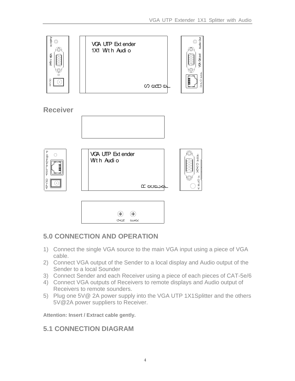

## **5.0 CONNECTION AND OPERATION**

- 1) Connect the single VGA source to the main VGA input using a piece of VGA cable.
- 2) Connect VGA output of the Sender to a local display and Audio output of the Sender to a local Sounder
- 3) Connect Sender and each Receiver using a piece of each pieces of CAT-5e/6
- 4) Connect VGA outputs of Receivers to remote displays and Audio output of Receivers to remote sounders.
- 5) Plug one 5V@ 2A power supply into the VGA UTP 1X1Splitter and the others 5V@2A power suppliers to Receiver.

**Attention: Insert / Extract cable gently.** 

## **5.1 CONNECTION DIAGRAM**